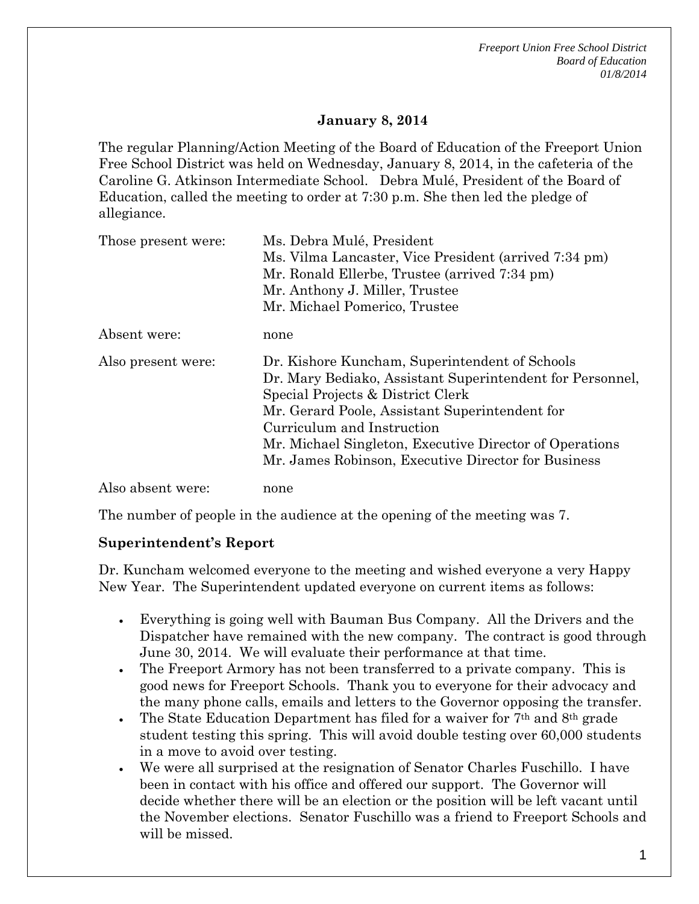*Freeport Union Free School District Board of Education 01/8/2014*

## **January 8, 2014**

The regular Planning/Action Meeting of the Board of Education of the Freeport Union Free School District was held on Wednesday, January 8, 2014, in the cafeteria of the Caroline G. Atkinson Intermediate School. Debra Mulé, President of the Board of Education, called the meeting to order at 7:30 p.m. She then led the pledge of allegiance.

| Those present were: | Ms. Debra Mulé, President                                 |
|---------------------|-----------------------------------------------------------|
|                     | Ms. Vilma Lancaster, Vice President (arrived 7:34 pm)     |
|                     | Mr. Ronald Ellerbe, Trustee (arrived 7:34 pm)             |
|                     | Mr. Anthony J. Miller, Trustee                            |
|                     | Mr. Michael Pomerico, Trustee                             |
| Absent were:        | none                                                      |
| Also present were:  | Dr. Kishore Kuncham, Superintendent of Schools            |
|                     | Dr. Mary Bediako, Assistant Superintendent for Personnel, |
|                     | Special Projects & District Clerk                         |
|                     | Mr. Gerard Poole, Assistant Superintendent for            |
|                     | Curriculum and Instruction                                |
|                     | Mr. Michael Singleton, Executive Director of Operations   |
|                     | Mr. James Robinson, Executive Director for Business       |
| Also absent were:   | none                                                      |

The number of people in the audience at the opening of the meeting was 7.

#### **Superintendent's Report**

Dr. Kuncham welcomed everyone to the meeting and wished everyone a very Happy New Year. The Superintendent updated everyone on current items as follows:

- Everything is going well with Bauman Bus Company. All the Drivers and the Dispatcher have remained with the new company. The contract is good through June 30, 2014. We will evaluate their performance at that time.
- The Freeport Armory has not been transferred to a private company. This is good news for Freeport Schools. Thank you to everyone for their advocacy and the many phone calls, emails and letters to the Governor opposing the transfer.
- The State Education Department has filed for a waiver for  $7<sup>th</sup>$  and  $8<sup>th</sup>$  grade student testing this spring. This will avoid double testing over 60,000 students in a move to avoid over testing.
- We were all surprised at the resignation of Senator Charles Fuschillo. I have been in contact with his office and offered our support. The Governor will decide whether there will be an election or the position will be left vacant until the November elections. Senator Fuschillo was a friend to Freeport Schools and will be missed.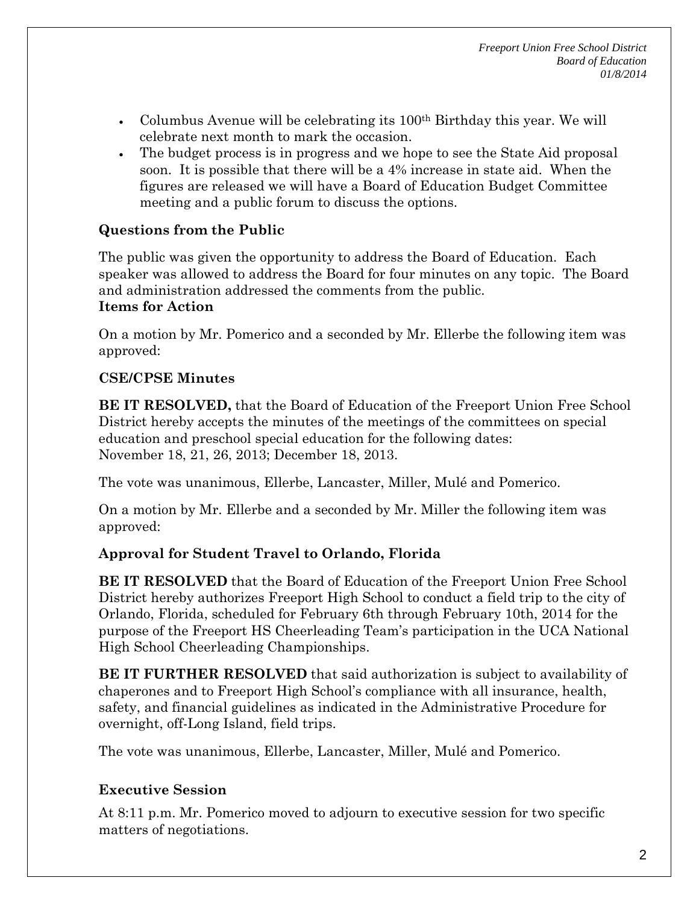- Columbus Avenue will be celebrating its  $100<sup>th</sup>$  Birthday this year. We will celebrate next month to mark the occasion.
- The budget process is in progress and we hope to see the State Aid proposal soon. It is possible that there will be a 4% increase in state aid. When the figures are released we will have a Board of Education Budget Committee meeting and a public forum to discuss the options.

# **Questions from the Public**

The public was given the opportunity to address the Board of Education. Each speaker was allowed to address the Board for four minutes on any topic. The Board and administration addressed the comments from the public. **Items for Action**

On a motion by Mr. Pomerico and a seconded by Mr. Ellerbe the following item was approved:

## **CSE/CPSE Minutes**

**BE IT RESOLVED,** that the Board of Education of the Freeport Union Free School District hereby accepts the minutes of the meetings of the committees on special education and preschool special education for the following dates: November 18, 21, 26, 2013; December 18, 2013.

The vote was unanimous, Ellerbe, Lancaster, Miller, Mulé and Pomerico.

On a motion by Mr. Ellerbe and a seconded by Mr. Miller the following item was approved:

# **Approval for Student Travel to Orlando, Florida**

**BE IT RESOLVED** that the Board of Education of the Freeport Union Free School District hereby authorizes Freeport High School to conduct a field trip to the city of Orlando, Florida, scheduled for February 6th through February 10th, 2014 for the purpose of the Freeport HS Cheerleading Team's participation in the UCA National High School Cheerleading Championships.

**BE IT FURTHER RESOLVED** that said authorization is subject to availability of chaperones and to Freeport High School's compliance with all insurance, health, safety, and financial guidelines as indicated in the Administrative Procedure for overnight, off-Long Island, field trips.

The vote was unanimous, Ellerbe, Lancaster, Miller, Mulé and Pomerico.

# **Executive Session**

At 8:11 p.m. Mr. Pomerico moved to adjourn to executive session for two specific matters of negotiations.